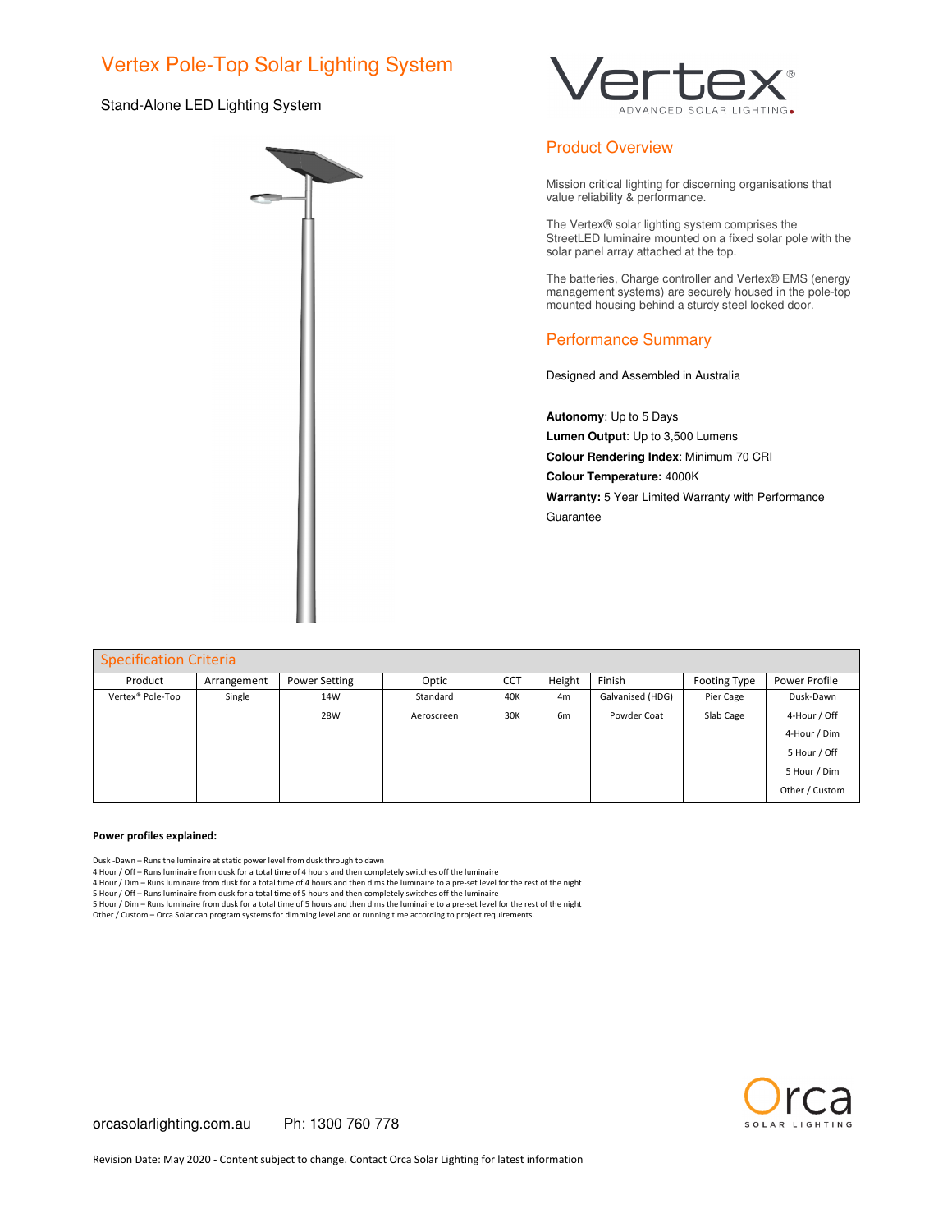## Vertex Pole-Top Solar Lighting System

### Stand-Alone LED Lighting System





## Product Overview

Mission critical lighting for discerning organisations that value reliability & performance.

The Vertex® solar lighting system comprises the StreetLED luminaire mounted on a fixed solar pole with the solar panel array attached at the top.

The batteries, Charge controller and Vertex® EMS (energy management systems) are securely housed in the pole-top mounted housing behind a sturdy steel locked door.

## Performance Summary

Designed and Assembled in Australia

**Autonomy**: Up to 5 Days **Lumen Output**: Up to 3,500 Lumens **Colour Rendering Index**: Minimum 70 CRI **Colour Temperature:** 4000K **Warranty:** 5 Year Limited Warranty with Performance Guarantee

| <b>Specification Criteria</b> |             |                      |            |            |                |                  |                     |                |  |
|-------------------------------|-------------|----------------------|------------|------------|----------------|------------------|---------------------|----------------|--|
| Product                       | Arrangement | <b>Power Setting</b> | Optic      | <b>CCT</b> | Height         | Finish           | <b>Footing Type</b> | Power Profile  |  |
| Vertex® Pole-Top              | Single      | 14W                  | Standard   | 40K        | 4 <sub>m</sub> | Galvanised (HDG) | Pier Cage           | Dusk-Dawn      |  |
|                               |             | 28W                  | Aeroscreen | 30K        | 6 <sub>m</sub> | Powder Coat      | Slab Cage           | 4-Hour / Off   |  |
|                               |             |                      |            |            |                |                  |                     | 4-Hour / Dim   |  |
|                               |             |                      |            |            |                |                  |                     | 5 Hour / Off   |  |
|                               |             |                      |            |            |                |                  |                     | 5 Hour / Dim   |  |
|                               |             |                      |            |            |                |                  |                     | Other / Custom |  |

#### **Power profiles explained:**

Dusk -Dawn – Runs the luminaire at static power level from dusk through to dawn

4 Hour / Off – Runs luminaire from dusk for a total time of 4 hours and then completely switches off the luminaire

4 Hour / Dim – Runs luminaire from dusk for a total time of 4 hours and then dims the luminaire to a pre-set level for the rest of the night

5 Hour / Off – Runs luminaire from dusk for a total time of 5 hours and then completely switches off the luminaire<br>5 Hour / Dim – Runs luminaire from dusk for a total time of 5 hours and then dims the luminaire to a pre-se

Other / Custom – Orca Solar can program systems for dimming level and or running time according to project requirements.

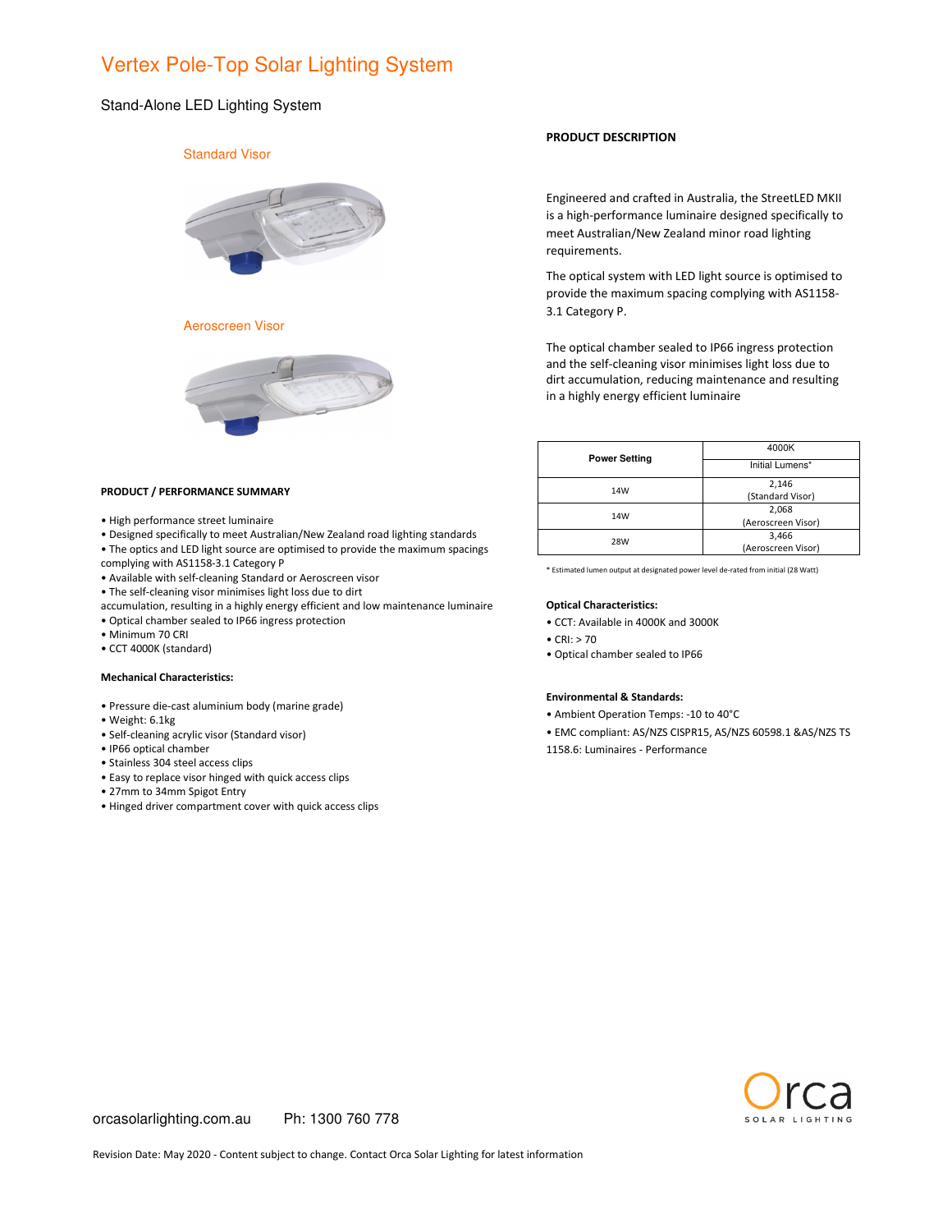## Vertex Pole-Top Solar Lighting System

### Stand-Alone LED Lighting System

## Standard Visor



Aeroscreen Visor



#### **PRODUCT / PERFORMANCE SUMMARY**

- High performance street luminaire
- Designed specifically to meet Australian/New Zealand road lighting standards
- The optics and LED light source are optimised to provide the maximum spacings complying with AS1158-3.1 Category P
- Available with self-cleaning Standard or Aeroscreen visor
- The self-cleaning visor minimises light loss due to dirt
- accumulation, resulting in a highly energy efficient and low maintenance luminaire
- Optical chamber sealed to IP66 ingress protection
- Minimum 70 CRI
- CCT 4000K (standard)

#### **Mechanical Characteristics:**

- Pressure die-cast aluminium body (marine grade)
- Weight: 6.1kg
- Self-cleaning acrylic visor (Standard visor)
- IP66 optical chamber
- Stainless 304 steel access clips
- Easy to replace visor hinged with quick access clips
- 27mm to 34mm Spigot Entry
- Hinged driver compartment cover with quick access clips

### **PRODUCT DESCRIPTION**

Engineered and crafted in Australia, the StreetLED MKII is a high-performance luminaire designed specifically to meet Australian/New Zealand minor road lighting requirements.

The optical system with LED light source is optimised to provide the maximum spacing complying with AS1158- 3.1 Category P.

The optical chamber sealed to IP66 ingress protection and the self-cleaning visor minimises light loss due to dirt accumulation, reducing maintenance and resulting in a highly energy efficient luminaire

| <b>Power Setting</b> | 4000K<br>Initial Lumens* |  |  |  |
|----------------------|--------------------------|--|--|--|
|                      |                          |  |  |  |
| 14W                  | 2,146                    |  |  |  |
|                      | (Standard Visor)         |  |  |  |
| 14W                  | 2,068                    |  |  |  |
|                      | (Aeroscreen Visor)       |  |  |  |
| <b>28W</b>           | 3,466                    |  |  |  |
|                      | (Aeroscreen Visor)       |  |  |  |

\* Estimated lumen output at designated power level de-rated from initial (28 Watt)

#### **Optical Characteristics:**

- CCT: Available in 4000K and 3000K
- CRI: > 70
- Optical chamber sealed to IP66

#### **Environmental & Standards:**

- Ambient Operation Temps: -10 to 40°C
- EMC compliant: AS/NZS CISPR15, AS/NZS 60598.1 &AS/NZS TS
- 1158.6: Luminaires Performance